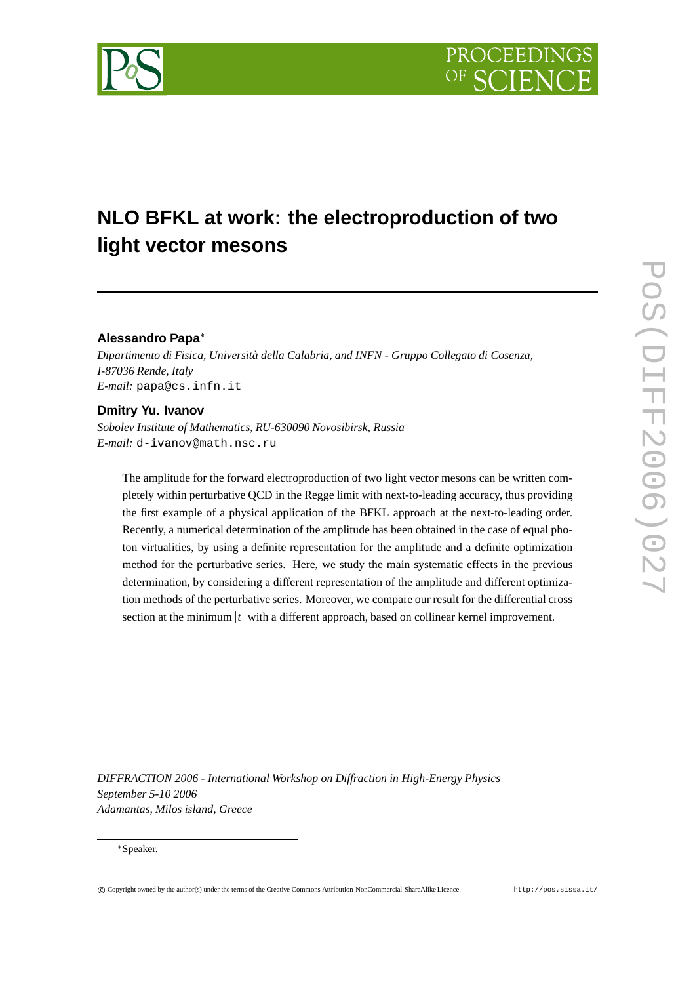# **NLO BFKL at work: the electroproduction of two light vector mesons**

# **Alessandro Papa**

*Dipartimento di Fisica, Università della Calabria, and INFN - Gruppo Collegato di Cosenza, I-87036 Rende, Italy E-mail:* papa@cs.infn.it

# **Dmitry Yu. Ivanov**

*Sobolev Institute of Mathematics, RU-630090 Novosibirsk, Russia E-mail:* d-ivanov@math.nsc.ru

The amplitude for the forward electroproduction of two light vector mesons can be written completely within perturbative QCD in the Regge limit with next-to-leading accuracy, thus providing the first example of a physical application of the BFKL approach at the next-to-leading order. Recently, a numerical determination of the amplitude has been obtained in the case of equal photon virtualities, by using a definite representation for the amplitude and a definite optimization method for the perturbative series. Here, we study the main systematic effects in the previous determination, by considering a different representation of the amplitude and different optimization methods of the perturbative series. Moreover, we compare our result for the differential cross section at the minimum |t| with a different approach, based on collinear kernel improvement.

*DIFFRACTION 2006 - International Workshop on Diffraction in High-Energy Physics September 5-10 2006 Adamantas, Milos island, Greece*

#### - Speaker.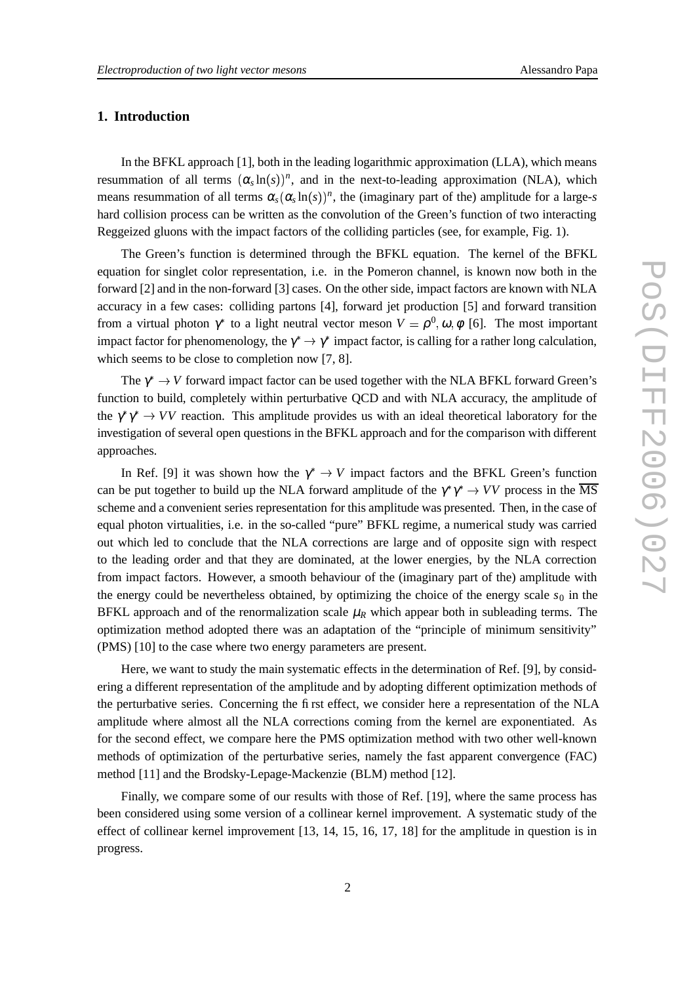# **1. Introduction**

In the BFKL approach [1], both in the leading logarithmic approximation (LLA), which means resummation of all terms  $(\alpha_s \ln(s))^n$ , and in the next-to-leading approximation (NLA), which means resummation of all terms  $\alpha_s(\alpha_s \ln(s))^n$ , the (imaginary part of the) amplitude for a large-*s* hard collision process can be written as the convolution of the Green's function of two interacting Reggeized gluons with the impact factors of the colliding particles (see, for example, Fig. 1).

The Green's function is determined through the BFKL equation. The kernel of the BFKL equation for singlet color representation, i.e. in the Pomeron channel, is known now both in the forward [2] and in the non-forward [3] cases. On the other side, impact factors are known with NLA accuracy in a few cases: colliding partons [4], forward jet production [5] and forward transition from a virtual photon  $\gamma^*$  to a light neutral vector meson  $V = \rho^0, \omega, \phi$  [6]. The most important impact factor for phenomenology, the  $\gamma^* \to \gamma^*$  impact factor, is calling for a rather long calculation, which seems to be close to completion now [7, 8].

The  $\gamma^* \to V$  forward impact factor can be used together with the NLA BFKL forward Green's function to build, completely within perturbative QCD and with NLA accuracy, the amplitude of the  $\gamma^* \gamma^* \to VV$  reaction. This amplitude provides us with an ideal theoretical laboratory for the investigation of several open questions in the BFKL approach and for the comparison with different approaches.

In Ref. [9] it was shown how the  $\gamma^* \to V$  impact factors and the BFKL Green's function can be put together to build up the NLA forward amplitude of the  $\gamma^* \gamma^* \to VV$  process in the MS scheme and a convenient series representation for this amplitude was presented. Then, in the case of equal photon virtualities, i.e. in the so-called "pure" BFKL regime, a numerical study was carried out which led to conclude that the NLA corrections are large and of opposite sign with respect to the leading order and that they are dominated, at the lower energies, by the NLA correction from impact factors. However, a smooth behaviour of the (imaginary part of the) amplitude with the energy could be nevertheless obtained, by optimizing the choice of the energy scale  $s_0$  in the BFKL approach and of the renormalization scale  $\mu_R$  which appear both in subleading terms. The optimization method adopted there was an adaptation of the "principle of minimum sensitivity" (PMS) [10] to the case where two energy parameters are present.

Here, we want to study the main systematic effects in the determination of Ref. [9], by considering a different representation of the amplitude and by adopting different optimization methods of the perturbative series. Concerning the first effect, we consider here a representation of the NLA amplitude where almost all the NLA corrections coming from the kernel are exponentiated. As for the second effect, we compare here the PMS optimization method with two other well-known methods of optimization of the perturbative series, namely the fast apparent convergence (FAC) method [11] and the Brodsky-Lepage-Mackenzie (BLM) method [12].

Finally, we compare some of our results with those of Ref. [19], where the same process has been considered using some version of a collinear kernel improvement. A systematic study of the effect of collinear kernel improvement [13, 14, 15, 16, 17, 18] for the amplitude in question is in progress.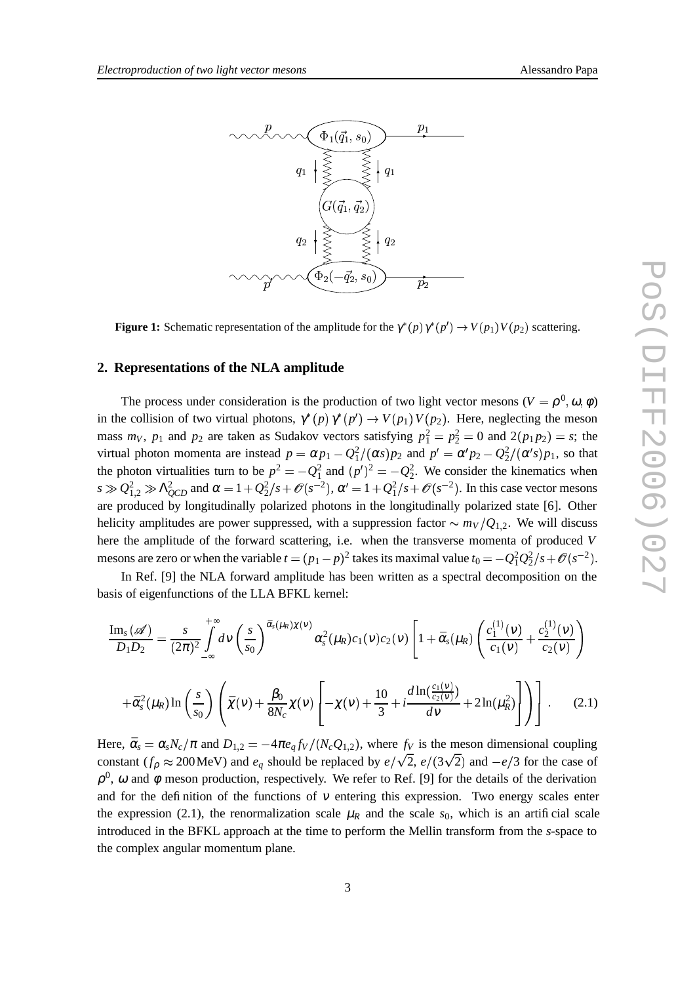

**Figure 1:** Schematic representation of the amplitude for the  $\gamma^*(p)\gamma^*(p') \rightarrow V(p_1)V(p_2)$  scattering.

# **2. Representations of the NLA amplitude**

The process under consideration is the production of two light vector mesons  $(V = \rho^0, \omega, \phi)$ in the collision of two virtual photons,  $\gamma^*(p)$   $\gamma^*(p') \to V(p_1) V(p_2)$ . Here, neglecting the meson mass  $m_V$ ,  $p_1$  and  $p_2$  are taken as Sudakov vectors satisfying  $p_1^2 = p_2^2 = 0$  and  $2(p_1p_2) = s$ ; the virtual photon momenta are instead  $p = \alpha p_1 - Q_1^2/(\alpha s) p_2$  and  $p' = \alpha' p_2 - Q_2^2/(\alpha' s) p_1$ , so that the photon virtualities turn to be  $p^2 = -Q_1^2$  and  $(p')^2 = -Q_2^2$ . We consider the kinematics when  $s \gg Q_{1,2}^2 \gg \Lambda_{QCD}^2$  and  $\alpha = 1 + Q_2^2/s + \mathcal{O}(s^{-2})$ ,  $\alpha' = 1 + Q_1^2/s + \mathcal{O}(s^{-2})$ . In this case vector mesons are produced by longitudinally polarized photons in the longitudinally polarized state [6]. Other helicity amplitudes are power suppressed, with a suppression factor  $\sim m_V/Q_{1,2}$ . We will discuss here the amplitude of the forward scattering, i.e. when the transverse momenta of produced *V* mesons are zero or when the variable  $t = (p_1 - p)^2$  takes its maximal value  $t_0 = -Q_1^2 Q_2^2 / s + \mathcal{O}(s^{-2})$ .

In Ref. [9] the NLA forward amplitude has been written as a spectral decomposition on the basis of eigenfunctions of the LLA BFKL kernel:

$$
\frac{\text{Im}_s(\mathscr{A})}{D_1 D_2} = \frac{s}{(2\pi)^2} \int_{-\infty}^{+\infty} dV \left(\frac{s}{s_0}\right)^{\bar{\alpha}_s(\mu_R)\chi(v)} \alpha_s^2(\mu_R) c_1(v) c_2(v) \left[1 + \bar{\alpha}_s(\mu_R) \left(\frac{c_1^{(1)}(v)}{c_1(v)} + \frac{c_2^{(1)}(v)}{c_2(v)}\right) + \bar{\alpha}_s^2(\mu_R) \ln\left(\frac{s}{s_0}\right) \left(\bar{\chi}(v) + \frac{\beta_0}{8N_c}\chi(v) \left[-\chi(v) + \frac{10}{3} + i\frac{d\ln(\frac{c_1(v)}{c_2(v)}}{dv} + 2\ln(\mu_R^2)\right]\right)\right].
$$
 (2.1)

Here,  $\bar{\alpha}_s = \alpha_s N_c / \pi$  and  $D_{1,2} = -4\pi e_q f_V / (N_c Q_{1,2})$ , where  $f_V$  is the meson dimensional coupling constant ( $f_p \approx 200 \text{MeV}$ ) and  $e_q$  should be replaced by  $e/\sqrt{2}$ ,  $e/(3\sqrt{2})$  and  $-e/3$  for the case of  $\rho^0$ ,  $\omega$  and  $\phi$  meson production, respectively. We refer to Ref. [9] for the details of the derivation and for the definition of the functions of  $v$  entering this expression. Two energy scales enter the expression (2.1), the renormalization scale  $\mu_R$  and the scale  $s_0$ , which is an artificial scale introduced in the BFKL approach at the time to perform the Mellin transform from the *s*-space to the complex angular momentum plane.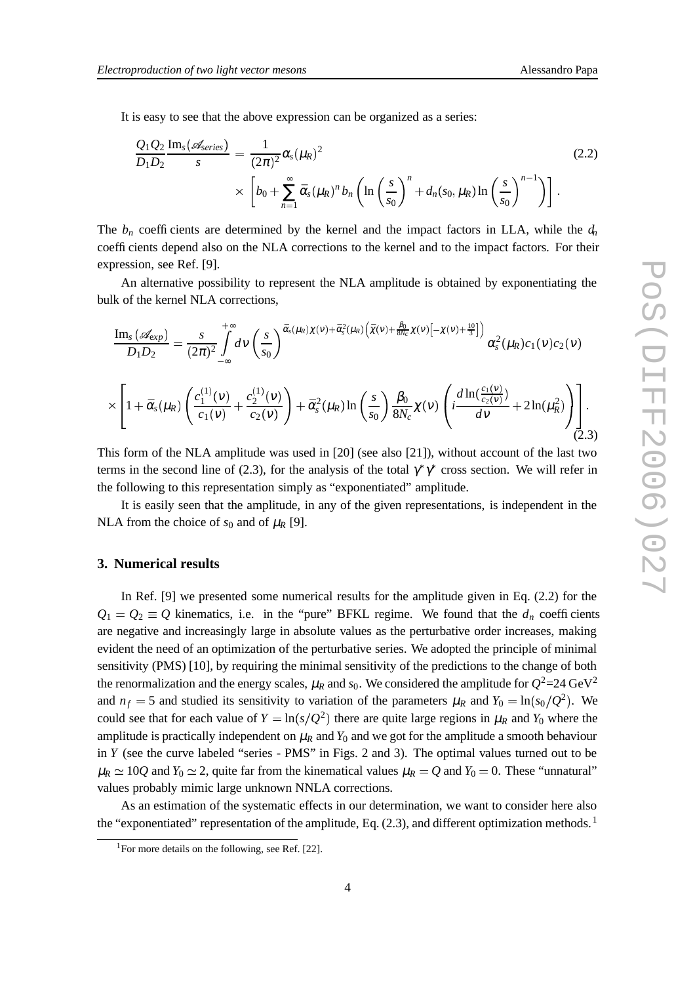It is easy to see that the above expression can be organized as a series:

$$
\frac{Q_1 Q_2}{D_1 D_2} \frac{\text{Im}_s(\mathscr{A}_{series})}{s} = \frac{1}{(2\pi)^2} \alpha_s(\mu_R)^2
$$
\n
$$
\times \left[ b_0 + \sum_{n=1}^{\infty} \bar{\alpha}_s(\mu_R)^n b_n \left( \ln \left( \frac{s}{s_0} \right)^n + d_n(s_0, \mu_R) \ln \left( \frac{s}{s_0} \right)^{n-1} \right) \right].
$$
\n(2.2)

The  $b_n$  coefficients are determined by the kernel and the impact factors in LLA, while the  $d_n$ coefficients depend also on the NLA corrections to the kernel and to the impact factors. For their expression, see Ref. [9].

An alternative possibility to represent the NLA amplitude is obtained by exponentiating the bulk of the kernel NLA corrections,

$$
\frac{\mathrm{Im}_{s}(\mathscr{A}_{exp})}{D_{1}D_{2}} = \frac{s}{(2\pi)^{2}} \int_{-\infty}^{+\infty} d\mathbf{v} \left(\frac{s}{s_{0}}\right)^{\bar{\alpha}_{s}(\mu_{R})\chi(\nu)+\bar{\alpha}_{s}^{2}(\mu_{R})\left(\bar{\chi}(\nu)+\frac{\beta_{0}}{8N_{c}}\chi(\nu)[-\chi(\nu)+\frac{10}{3}]\right)} \alpha_{s}^{2}(\mu_{R}) c_{1}(\nu)c_{2}(\nu)
$$
  
 
$$
\times \left[1+\bar{\alpha}_{s}(\mu_{R})\left(\frac{c_{1}^{(1)}(\nu)}{c_{1}(\nu)}+\frac{c_{2}^{(1)}(\nu)}{c_{2}(\nu)}\right)+\bar{\alpha}_{s}^{2}(\mu_{R})\ln\left(\frac{s}{s_{0}}\right)\frac{\beta_{0}}{8N_{c}}\chi(\nu)\left(i\frac{d\ln(\frac{c_{1}(\nu)}{c_{2}(\nu)})}{d\nu}+2\ln(\mu_{R}^{2})\right)\right].
$$
 (2.3)

This form of the NLA amplitude was used in [20] (see also [21]), without account of the last two terms in the second line of (2.3), for the analysis of the total  $\gamma^* \gamma^*$  cross section. We will refer in the following to this representation simply as "exponentiated" amplitude.

It is easily seen that the amplitude, in any of the given representations, is independent in the NLA from the choice of  $s_0$  and of  $\mu_R$  [9].

### **3. Numerical results**

In Ref. [9] we presented some numerical results for the amplitude given in Eq. (2.2) for the  $Q_1 = Q_2 \equiv Q$  kinematics, i.e. in the "pure" BFKL regime. We found that the  $d_n$  coefficients are negative and increasingly large in absolute values as the perturbative order increases, making evident the need of an optimization of the perturbative series. We adopted the principle of minimal sensitivity (PMS) [10], by requiring the minimal sensitivity of the predictions to the change of both the renormalization and the energy scales,  $\mu_R$  and  $s_0$ . We considered the amplitude for  $Q^2$ =24 GeV<sup>2</sup> and  $n_f = 5$  and studied its sensitivity to variation of the parameters  $\mu_R$  and  $Y_0 = \ln(s_0/Q^2)$ . We could see that for each value of  $Y = \ln(s/Q^2)$  there are quite large regions in  $\mu_R$  and  $Y_0$  where the amplitude is practically independent on  $\mu_R$  and  $Y_0$  and we got for the amplitude a smooth behaviour in *Y* (see the curve labeled "series - PMS" in Figs. 2 and 3). The optimal values turned out to be  $\mu_R \simeq 10Q$  and  $Y_0 \simeq 2$ , quite far from the kinematical values  $\mu_R = Q$  and  $Y_0 = 0$ . These "unnatural" values probably mimic large unknown NNLA corrections.

As an estimation of the systematic effects in our determination, we want to consider here also the "exponentiated" representation of the amplitude, Eq. (2.3), and different optimization methods.<sup>1</sup>

<sup>&</sup>lt;sup>1</sup>For more details on the following, see Ref. [22].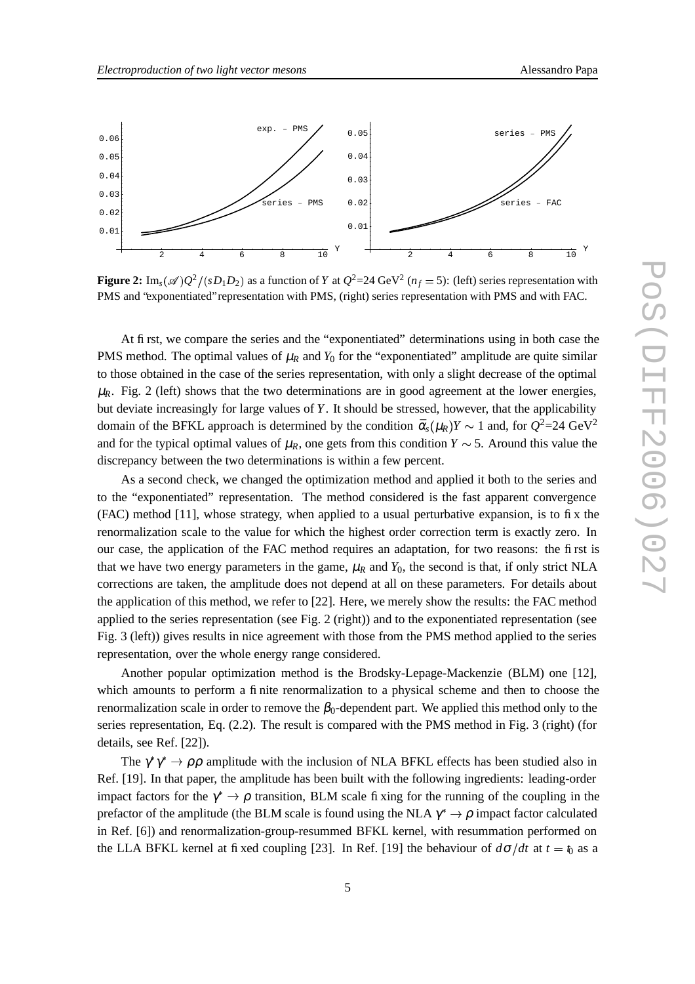

**Figure 2:**  $\text{Im}_s(\mathscr{A})Q^2/(sD_1D_2)$  as a function of *Y* at  $Q^2$ =24 GeV<sup>2</sup> ( $n_f$  = 5): (left) series representation with PMS and "exponentiated" representation with PMS, (right) series representation with PMS and with FAC.

At first, we compare the series and the "exponentiated" determinations using in both case the PMS method. The optimal values of  $\mu_R$  and  $Y_0$  for the "exponentiated" amplitude are quite similar to those obtained in the case of the series representation, with only a slight decrease of the optimal  $\mu_R$ . Fig. 2 (left) shows that the two determinations are in good agreement at the lower energies, but deviate increasingly for large values of *Y*. It should be stressed, however, that the applicability domain of the BFKL approach is determined by the condition  $\bar{\alpha}_s(\mu_R)Y \sim 1$  and, for  $Q^2$ =24 GeV<sup>2</sup> and for the typical optimal values of  $\mu_R$ , one gets from this condition  $Y \sim 5$ . Around this value the discrepancy between the two determinations is within a few percent.

As a second check, we changed the optimization method and applied it both to the series and to the "exponentiated" representation. The method considered is the fast apparent convergence (FAC) method [11], whose strategy, when applied to a usual perturbative expansion, is to fix the renormalization scale to the value for which the highest order correction term is exactly zero. In our case, the application of the FAC method requires an adaptation, for two reasons: the first is that we have two energy parameters in the game,  $\mu_R$  and  $Y_0$ , the second is that, if only strict NLA corrections are taken, the amplitude does not depend at all on these parameters. For details about the application of this method, we refer to [22]. Here, we merely show the results: the FAC method applied to the series representation (see Fig. 2 (right)) and to the exponentiated representation (see Fig. 3 (left)) gives results in nice agreement with those from the PMS method applied to the series representation, over the whole energy range considered.

Another popular optimization method is the Brodsky-Lepage-Mackenzie (BLM) one [12], which amounts to perform a finite renormalization to a physical scheme and then to choose the renormalization scale in order to remove the  $β_0$ -dependent part. We applied this method only to the series representation, Eq. (2.2). The result is compared with the PMS method in Fig. 3 (right) (for details, see Ref. [22]).

The  $\gamma^* \gamma^* \to \rho \rho$  amplitude with the inclusion of NLA BFKL effects has been studied also in Ref. [19]. In that paper, the amplitude has been built with the following ingredients: leading-order impact factors for the  $\gamma^* \to \rho$  transition, BLM scale fixing for the running of the coupling in the prefactor of the amplitude (the BLM scale is found using the NLA  $\gamma^* \to \rho$  impact factor calculated in Ref. [6]) and renormalization-group-resummed BFKL kernel, with resummation performed on the LLA BFKL kernel at fixed coupling [23]. In Ref. [19] the behaviour of  $d\sigma/dt$  at  $t = t_0$  as a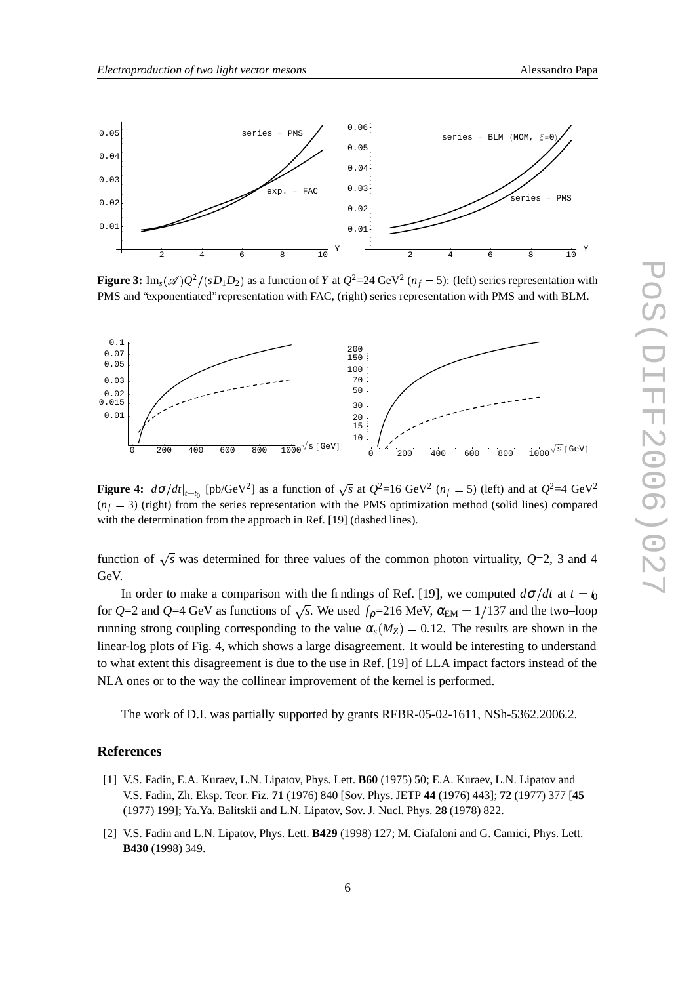

**Figure 3:**  $\text{Im}_s(\mathscr{A})Q^2/(sD_1D_2)$  as a function of *Y* at  $Q^2$ =24 GeV<sup>2</sup> ( $n_f$  = 5): (left) series representation with PMS and "exponentiated" representation with FAC, (right) series representation with PMS and with BLM.



**Figure 4:**  $d\sigma/dt|_{t=t_0}$  [pb/GeV<sup>2</sup>] as a function of  $\sqrt{s}$  at  $Q^2=16$  GeV<sup>2</sup> ( $n_f = 5$ ) (left) and at  $Q^2=4$  GeV<sup>2</sup>  $(n_f = 3)$  (right) from the series representation with the PMS optimization method (solid lines) compared with the determination from the approach in Ref. [19] (dashed lines).

function of  $\sqrt{s}$  was determined for three values of the common photon virtuality,  $Q=2$ , 3 and 4 GeV.

In order to make a comparison with the findings of Ref. [19], we computed  $d\sigma/dt$  at  $t = t_0$ for *Q*=2 and *Q*=4 GeV as functions of  $\sqrt{s}$ . We used  $f_p$ =216 MeV,  $\alpha_{EM}$  = 1/137 and the two–loop running strong coupling corresponding to the value  $\alpha_s(M_Z) = 0.12$ . The results are shown in the linear-log plots of Fig. 4, which shows a large disagreement. It would be interesting to understand to what extent this disagreement is due to the use in Ref. [19] of LLA impact factors instead of the NLA ones or to the way the collinear improvement of the kernel is performed.

The work of D.I. was partially supported by grants RFBR-05-02-1611, NSh-5362.2006.2.

#### **References**

- [1] V.S. Fadin, E.A. Kuraev, L.N. Lipatov, Phys. Lett. **B60** (1975) 50; E.A. Kuraev, L.N. Lipatov and V.S. Fadin, Zh. Eksp. Teor. Fiz. **71** (1976) 840 [Sov. Phys. JETP **44** (1976) 443]; **72** (1977) 377 [**45** (1977) 199]; Ya.Ya. Balitskii and L.N. Lipatov, Sov. J. Nucl. Phys. **28** (1978) 822.
- [2] V.S. Fadin and L.N. Lipatov, Phys. Lett. **B429** (1998) 127; M. Ciafaloni and G. Camici, Phys. Lett. **B430** (1998) 349.